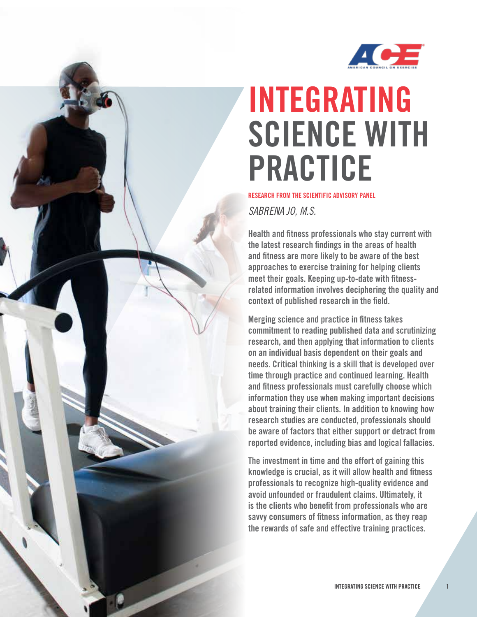

# INTEGRATING SCIENCE WITH PRACTICE

RESEARCH FROM THE SCIENTIFIC ADVISORY PANEL

*SABRENA JO, M.S.*

Health and fitness professionals who stay current with the latest research findings in the areas of health and fitness are more likely to be aware of the best approaches to exercise training for helping clients meet their goals. Keeping up-to-date with fitnessrelated information involves deciphering the quality and context of published research in the field.

Merging science and practice in fitness takes commitment to reading published data and scrutinizing research, and then applying that information to clients on an individual basis dependent on their goals and needs. Critical thinking is a skill that is developed over time through practice and continued learning. Health and fitness professionals must carefully choose which information they use when making important decisions about training their clients. In addition to knowing how research studies are conducted, professionals should be aware of factors that either support or detract from reported evidence, including bias and logical fallacies.

The investment in time and the effort of gaining this knowledge is crucial, as it will allow health and fitness professionals to recognize high-quality evidence and avoid unfounded or fraudulent claims. Ultimately, it is the clients who benefit from professionals who are savvy consumers of fitness information, as they reap the rewards of safe and effective training practices.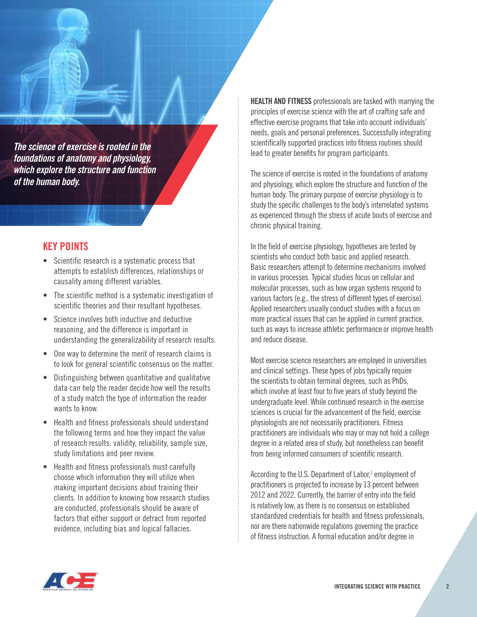*The science of exercise is rooted in the foundations of anatomy and physiology, which explore the structure and function of the human body.*

# KEY POINTS

- Scientific research is a systematic process that attempts to establish differences, relationships or causality among different variables.
- The scientific method is a systematic investigation of scientific theories and their resultant hypotheses.
- Science involves both inductive and deductive reasoning, and the difference is important in understanding the generalizability of research results.
- One way to determine the merit of research claims is to look for general scientific consensus on the matter.
- Distinguishing between quantitative and qualitative data can help the reader decide how well the results of a study match the type of information the reader wants to know.
- Health and fitness professionals should understand the following terms and how they impact the value of research results: validity, reliability, sample size, study limitations and peer review.
- Health and fitness professionals must carefully choose which information they will utilize when making important decisions about training their clients. In addition to knowing how research studies are conducted, professionals should be aware of factors that either support or detract from reported evidence, including bias and logical fallacies.

**HEALTH AND FITNESS** professionals are tasked with marrying the principles of exercise science with the art of crafting safe and effective exercise programs that take into account individuals' needs, goals and personal preferences. Successfully integrating scientifically supported practices into fitness routines should lead to greater benefits for program participants.

The science of exercise is rooted in the foundations of anatomy and physiology, which explore the structure and function of the human body. The primary purpose of exercise physiology is to study the specific challenges to the body's interrelated systems as experienced through the stress of acute bouts of exercise and chronic physical training.

In the field of exercise physiology, hypotheses are tested by scientists who conduct both basic and applied research. Basic researchers attempt to determine mechanisms involved in various processes. Typical studies focus on cellular and molecular processes, such as how organ systems respond to various factors (e.g., the stress of different types of exercise). Applied researchers usually conduct studies with a focus on more practical issues that can be applied in current practice, such as ways to increase athletic performance or improve health and reduce disease.

Most exercise science researchers are employed in universities and clinical settings. These types of jobs typically require the scientists to obtain terminal degrees, such as PhDs, which involve at least four to five years of study beyond the undergraduate level. While continued research in the exercise sciences is crucial for the advancement of the field, exercise physiologists are not necessarily practitioners. Fitness practitioners are individuals who may or may not hold a college degree in a related area of study, but nonetheless can benefit from being informed consumers of scientific research.

According to the U.S. Department of Labor,<sup>1</sup> employment of practitioners is projected to increase by 13 percent between 2012 and 2022. Currently, the barrier of entry into the field is relatively low, as there is no consensus on established standardized credentials for health and fitness professionals, nor are there nationwide regulations governing the practice of fitness instruction. A formal education and/or degree in

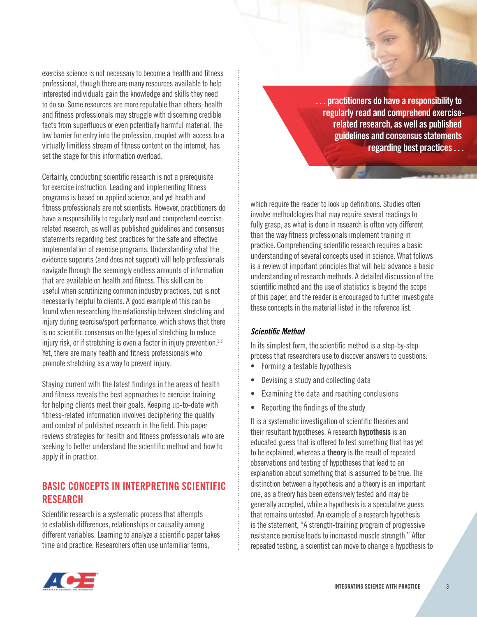exercise science is not necessary to become a health and fitness professional, though there are many resources available to help interested individuals gain the knowledge and skills they need to do so. Some resources are more reputable than others; health and fitness professionals may struggle with discerning credible facts from superfluous or even potentially harmful material. The low barrier for entry into the profession, coupled with access to a virtually limitless stream of fitness content on the internet, has set the stage for this information overload.

Certainly, conducting scientific research is not a prerequisite for exercise instruction. Leading and implementing fitness programs is based on applied science, and yet health and fitness professionals are not scientists. However, practitioners do have a responsibility to regularly read and comprehend exerciserelated research, as well as published guidelines and consensus statements regarding best practices for the safe and effective implementation of exercise programs. Understanding what the evidence supports (and does not support) will help professionals navigate through the seemingly endless amounts of information that are available on health and fitness. This skill can be useful when scrutinizing common industry practices, but is not necessarily helpful to clients. A good example of this can be found when researching the relationship between stretching and injury during exercise/sport performance, which shows that there is no scientific consensus on the types of stretching to reduce injury risk, or if stretching is even a factor in injury prevention.<sup>2,3</sup> Yet, there are many health and fitness professionals who promote stretching as a way to prevent injury.

Staying current with the latest findings in the areas of health and fitness reveals the best approaches to exercise training for helping clients meet their goals. Keeping up-to-date with fitness-related information involves deciphering the quality and context of published research in the field. This paper reviews strategies for health and fitness professionals who are seeking to better understand the scientific method and how to apply it in practice.

# BASIC CONCEPTS IN INTERPRETING SCIENTIFIC **RESEARCH**

Scientific research is a systematic process that attempts to establish differences, relationships or causality among different variables. Learning to analyze a scientific paper takes time and practice. Researchers often use unfamiliar terms,

. . . practitioners do have a responsibility to regularly read and comprehend exerciserelated research, as well as published guidelines and consensus statements regarding best practices . . .

which require the reader to look up definitions. Studies often involve methodologies that may require several readings to fully grasp, as what is done in research is often very different than the way fitness professionals implement training in practice. Comprehending scientific research requires a basic understanding of several concepts used in science. What follows is a review of important principles that will help advance a basic understanding of research methods. A detailed discussion of the scientific method and the use of statistics is beyond the scope of this paper, and the reader is encouraged to further investigate these concepts in the material listed in the reference list.

# *Scientific Method*

In its simplest form, the scientific method is a step-by-step process that researchers use to discover answers to questions:

- Forming a testable hypothesis
- Devising a study and collecting data
- Examining the data and reaching conclusions
- Reporting the findings of the study

It is a systematic investigation of scientific theories and their resultant hypotheses. A research hypothesis is an educated guess that is offered to test something that has yet to be explained, whereas a theory is the result of repeated observations and testing of hypotheses that lead to an explanation about something that is assumed to be true. The distinction between a hypothesis and a theory is an important one, as a theory has been extensively tested and may be generally accepted, while a hypothesis is a speculative guess that remains untested. An example of a research hypothesis is the statement, "A strength-training program of progressive resistance exercise leads to increased muscle strength." After repeated testing, a scientist can move to change a hypothesis to

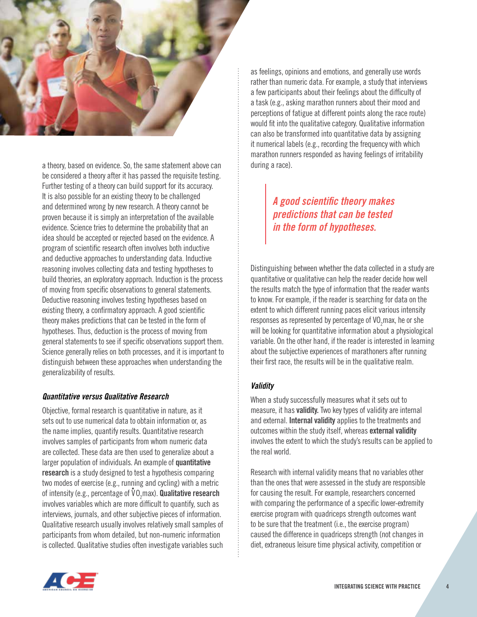

a theory, based on evidence. So, the same statement above can be considered a theory after it has passed the requisite testing. Further testing of a theory can build support for its accuracy. It is also possible for an existing theory to be challenged and determined wrong by new research. A theory cannot be proven because it is simply an interpretation of the available evidence. Science tries to determine the probability that an idea should be accepted or rejected based on the evidence. A program of scientific research often involves both inductive and deductive approaches to understanding data. Inductive reasoning involves collecting data and testing hypotheses to build theories, an exploratory approach. Induction is the process of moving from specific observations to general statements. Deductive reasoning involves testing hypotheses based on existing theory, a confirmatory approach. A good scientific theory makes predictions that can be tested in the form of hypotheses. Thus, deduction is the process of moving from general statements to see if specific observations support them. Science generally relies on both processes, and it is important to distinguish between these approaches when understanding the generalizability of results.

# *Quantitative versus Qualitative Research*

Objective, formal research is quantitative in nature, as it sets out to use numerical data to obtain information or, as the name implies, quantify results. Quantitative research involves samples of participants from whom numeric data are collected. These data are then used to generalize about a larger population of individuals. An example of quantitative research is a study designed to test a hypothesis comparing two modes of exercise (e.g., running and cycling) with a metric of intensity (e.g., percentage of  $\mathbf{v}_{2}$ max). Qualitative research involves variables which are more difficult to quantify, such as interviews, journals, and other subjective pieces of information. Qualitative research usually involves relatively small samples of participants from whom detailed, but non-numeric information is collected. Qualitative studies often investigate variables such

as feelings, opinions and emotions, and generally use words rather than numeric data. For example, a study that interviews a few participants about their feelings about the difficulty of a task (e.g., asking marathon runners about their mood and perceptions of fatigue at different points along the race route) would fit into the qualitative category. Qualitative information can also be transformed into quantitative data by assigning it numerical labels (e.g., recording the frequency with which marathon runners responded as having feelings of irritability during a race).

# *A good scientific theory makes predictions that can be tested in the form of hypotheses.*

Distinguishing between whether the data collected in a study are quantitative or qualitative can help the reader decide how well the results match the type of information that the reader wants to know. For example, if the reader is searching for data on the extent to which different running paces elicit various intensity responses as represented by percentage of VO<sub>2</sub>max, he or she will be looking for quantitative information about a physiological variable. On the other hand, if the reader is interested in learning about the subjective experiences of marathoners after running their first race, the results will be in the qualitative realm.

# *Validity*

When a study successfully measures what it sets out to measure, it has validity. Two key types of validity are internal and external. Internal validity applies to the treatments and outcomes within the study itself, whereas external validity involves the extent to which the study's results can be applied to the real world.

Research with internal validity means that no variables other than the ones that were assessed in the study are responsible for causing the result. For example, researchers concerned with comparing the performance of a specific lower-extremity exercise program with quadriceps strength outcomes want to be sure that the treatment (i.e., the exercise program) caused the difference in quadriceps strength (not changes in diet, extraneous leisure time physical activity, competition or

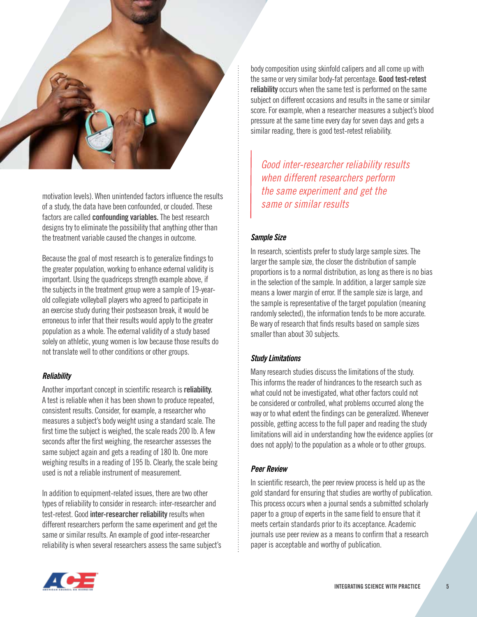

motivation levels). When unintended factors influence the results of a study, the data have been confounded, or clouded. These factors are called confounding variables. The best research designs try to eliminate the possibility that anything other than the treatment variable caused the changes in outcome.

Because the goal of most research is to generalize findings to the greater population, working to enhance external validity is important. Using the quadriceps strength example above, if the subjects in the treatment group were a sample of 19-yearold collegiate volleyball players who agreed to participate in an exercise study during their postseason break, it would be erroneous to infer that their results would apply to the greater population as a whole. The external validity of a study based solely on athletic, young women is low because those results do not translate well to other conditions or other groups.

# *Reliability*

Another important concept in scientific research is reliability. A test is reliable when it has been shown to produce repeated, consistent results. Consider, for example, a researcher who measures a subject's body weight using a standard scale. The first time the subject is weighed, the scale reads 200 lb. A few seconds after the first weighing, the researcher assesses the same subject again and gets a reading of 180 lb. One more weighing results in a reading of 195 lb. Clearly, the scale being used is not a reliable instrument of measurement.

In addition to equipment-related issues, there are two other types of reliability to consider in research: inter-researcher and test-retest. Good inter-researcher reliability results when different researchers perform the same experiment and get the same or similar results. An example of good inter-researcher reliability is when several researchers assess the same subject's

body composition using skinfold calipers and all come up with the same or very similar body-fat percentage. Good test-retest reliability occurs when the same test is performed on the same subject on different occasions and results in the same or similar score. For example, when a researcher measures a subject's blood pressure at the same time every day for seven days and gets a similar reading, there is good test-retest reliability.

*Good inter-researcher reliability results when different researchers perform the same experiment and get the same or similar results*

# *Sample Size*

In research, scientists prefer to study large sample sizes. The larger the sample size, the closer the distribution of sample proportions is to a normal distribution, as long as there is no bias in the selection of the sample. In addition, a larger sample size means a lower margin of error. If the sample size is large, and the sample is representative of the target population (meaning randomly selected), the information tends to be more accurate. Be wary of research that finds results based on sample sizes smaller than about 30 subjects.

# *Study Limitations*

Many research studies discuss the limitations of the study. This informs the reader of hindrances to the research such as what could not be investigated, what other factors could not be considered or controlled, what problems occurred along the way or to what extent the findings can be generalized. Whenever possible, getting access to the full paper and reading the study limitations will aid in understanding how the evidence applies (or does not apply) to the population as a whole or to other groups.

## *Peer Review*

In scientific research, the peer review process is held up as the gold standard for ensuring that studies are worthy of publication. This process occurs when a journal sends a submitted scholarly paper to a group of experts in the same field to ensure that it meets certain standards prior to its acceptance. Academic journals use peer review as a means to confirm that a research paper is acceptable and worthy of publication.

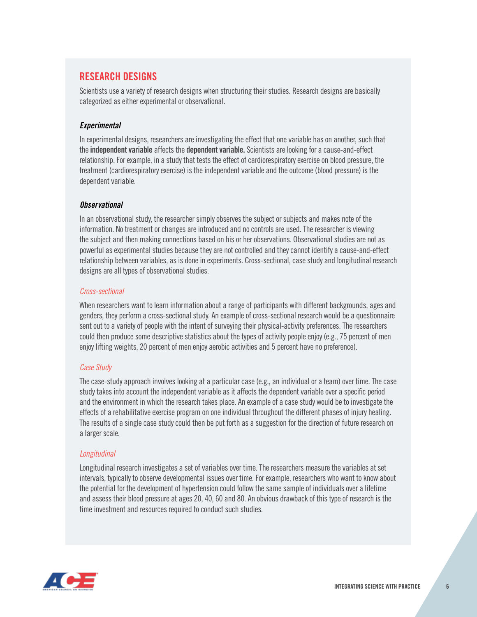# RESEARCH DESIGNS

Scientists use a variety of research designs when structuring their studies. Research designs are basically categorized as either experimental or observational.

# *Experimental*

In experimental designs, researchers are investigating the effect that one variable has on another, such that the independent variable affects the dependent variable. Scientists are looking for a cause-and-effect relationship. For example, in a study that tests the effect of cardiorespiratory exercise on blood pressure, the treatment (cardiorespiratory exercise) is the independent variable and the outcome (blood pressure) is the dependent variable.

# *Observational*

In an observational study, the researcher simply observes the subject or subjects and makes note of the information. No treatment or changes are introduced and no controls are used. The researcher is viewing the subject and then making connections based on his or her observations. Observational studies are not as powerful as experimental studies because they are not controlled and they cannot identify a cause-and-effect relationship between variables, as is done in experiments. Cross-sectional, case study and longitudinal research designs are all types of observational studies.

# *Cross-sectional*

When researchers want to learn information about a range of participants with different backgrounds, ages and genders, they perform a cross-sectional study. An example of cross-sectional research would be a questionnaire sent out to a variety of people with the intent of surveying their physical-activity preferences. The researchers could then produce some descriptive statistics about the types of activity people enjoy (e.g., 75 percent of men enjoy lifting weights, 20 percent of men enjoy aerobic activities and 5 percent have no preference).

# *Case Study*

The case-study approach involves looking at a particular case (e.g., an individual or a team) over time. The case study takes into account the independent variable as it affects the dependent variable over a specific period and the environment in which the research takes place. An example of a case study would be to investigate the effects of a rehabilitative exercise program on one individual throughout the different phases of injury healing. The results of a single case study could then be put forth as a suggestion for the direction of future research on a larger scale.

# *Longitudinal*

Longitudinal research investigates a set of variables over time. The researchers measure the variables at set intervals, typically to observe developmental issues over time. For example, researchers who want to know about the potential for the development of hypertension could follow the same sample of individuals over a lifetime and assess their blood pressure at ages 20, 40, 60 and 80. An obvious drawback of this type of research is the time investment and resources required to conduct such studies.

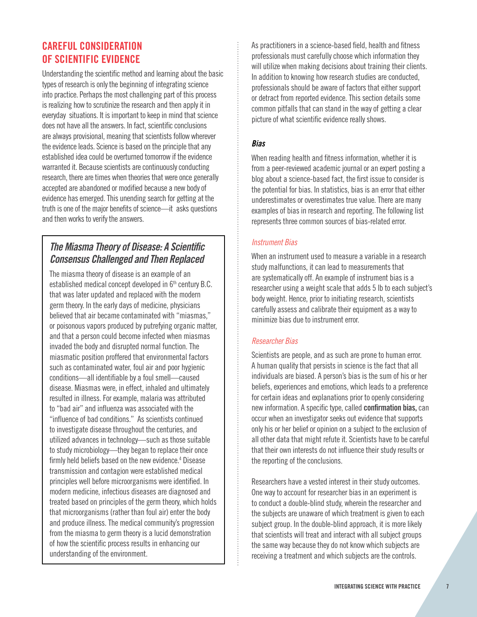# CAREFUL CONSIDERATION OF SCIENTIFIC EVIDENCE

Understanding the scientific method and learning about the basic types of research is only the beginning of integrating science into practice. Perhaps the most challenging part of this process is realizing how to scrutinize the research and then apply it in everyday situations. It is important to keep in mind that science does not have all the answers. In fact, scientific conclusions are always provisional, meaning that scientists follow wherever the evidence leads. Science is based on the principle that any established idea could be overturned tomorrow if the evidence warranted it. Because scientists are continuously conducting research, there are times when theories that were once generally accepted are abandoned or modified because a new body of evidence has emerged. This unending search for getting at the truth is one of the major benefits of science—it asks questions and then works to verify the answers.

# *The Miasma Theory of Disease: A Scientific Consensus Challenged and Then Replaced*

The miasma theory of disease is an example of an established medical concept developed in  $6<sup>th</sup>$  century B.C. that was later updated and replaced with the modern germ theory. In the early days of medicine, physicians believed that air became contaminated with "miasmas," or poisonous vapors produced by putrefying organic matter, and that a person could become infected when miasmas invaded the body and disrupted normal function. The miasmatic position proffered that environmental factors such as contaminated water, foul air and poor hygienic conditions—all identifiable by a foul smell—caused disease. Miasmas were, in effect, inhaled and ultimately resulted in illness. For example, malaria was attributed to "bad air" and influenza was associated with the "influence of bad conditions." As scientists continued to investigate disease throughout the centuries, and utilized advances in technology—such as those suitable to study microbiology—they began to replace their once firmly held beliefs based on the new evidence.<sup>4</sup> Disease transmission and contagion were established medical principles well before microorganisms were identified. In modern medicine, infectious diseases are diagnosed and treated based on principles of the germ theory, which holds that microorganisms (rather than foul air) enter the body and produce illness. The medical community's progression from the miasma to germ theory is a lucid demonstration of how the scientific process results in enhancing our understanding of the environment.

As practitioners in a science-based field, health and fitness professionals must carefully choose which information they will utilize when making decisions about training their clients. In addition to knowing how research studies are conducted, professionals should be aware of factors that either support or detract from reported evidence. This section details some common pitfalls that can stand in the way of getting a clear picture of what scientific evidence really shows.

# *Bias*

When reading health and fitness information, whether it is from a peer-reviewed academic journal or an expert posting a blog about a science-based fact, the first issue to consider is the potential for bias. In statistics, bias is an error that either underestimates or overestimates true value. There are many examples of bias in research and reporting. The following list represents three common sources of bias-related error.

# *Instrument Bias*

When an instrument used to measure a variable in a research study malfunctions, it can lead to measurements that are systematically off. An example of instrument bias is a researcher using a weight scale that adds 5 lb to each subject's body weight. Hence, prior to initiating research, scientists carefully assess and calibrate their equipment as a way to minimize bias due to instrument error.

# *Researcher Bias*

Scientists are people, and as such are prone to human error. A human quality that persists in science is the fact that all individuals are biased. A person's bias is the sum of his or her beliefs, experiences and emotions, which leads to a preference for certain ideas and explanations prior to openly considering new information. A specific type, called confirmation bias, can occur when an investigator seeks out evidence that supports only his or her belief or opinion on a subject to the exclusion of all other data that might refute it. Scientists have to be careful that their own interests do not influence their study results or the reporting of the conclusions.

Researchers have a vested interest in their study outcomes. One way to account for researcher bias in an experiment is to conduct a double-blind study, wherein the researcher and the subjects are unaware of which treatment is given to each subject group. In the double-blind approach, it is more likely that scientists will treat and interact with all subject groups the same way because they do not know which subjects are receiving a treatment and which subjects are the controls.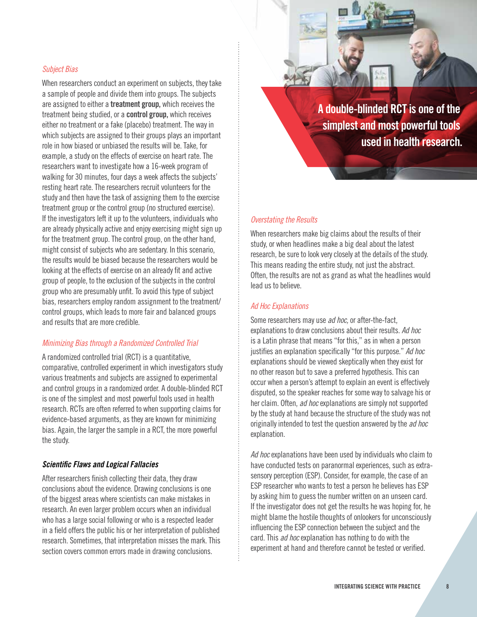# *Subject Bias*

When researchers conduct an experiment on subjects, they take a sample of people and divide them into groups. The subjects are assigned to either a treatment group, which receives the treatment being studied, or a control group, which receives either no treatment or a fake (placebo) treatment. The way in which subjects are assigned to their groups plays an important role in how biased or unbiased the results will be. Take, for example, a study on the effects of exercise on heart rate. The researchers want to investigate how a 16-week program of walking for 30 minutes, four days a week affects the subjects' resting heart rate. The researchers recruit volunteers for the study and then have the task of assigning them to the exercise treatment group or the control group (no structured exercise). If the investigators left it up to the volunteers, individuals who are already physically active and enjoy exercising might sign up for the treatment group. The control group, on the other hand, might consist of subjects who are sedentary. In this scenario, the results would be biased because the researchers would be looking at the effects of exercise on an already fit and active group of people, to the exclusion of the subjects in the control group who are presumably unfit. To avoid this type of subject bias, researchers employ random assignment to the treatment/ control groups, which leads to more fair and balanced groups and results that are more credible.

# *Minimizing Bias through a Randomized Controlled Trial*

A randomized controlled trial (RCT) is a quantitative, comparative, controlled experiment in which investigators study various treatments and subjects are assigned to experimental and control groups in a randomized order. A double-blinded RCT is one of the simplest and most powerful tools used in health research. RCTs are often referred to when supporting claims for evidence-based arguments, as they are known for minimizing bias. Again, the larger the sample in a RCT, the more powerful the study.

## *Scientific Flaws and Logical Fallacies*

After researchers finish collecting their data, they draw conclusions about the evidence. Drawing conclusions is one of the biggest areas where scientists can make mistakes in research. An even larger problem occurs when an individual who has a large social following or who is a respected leader in a field offers the public his or her interpretation of published research. Sometimes, that interpretation misses the mark. This section covers common errors made in drawing conclusions.

A double-blinded RCT is one of the simplest and most powerful tools used in health research.

#### *Overstating the Results*

When researchers make big claims about the results of their study, or when headlines make a big deal about the latest research, be sure to look very closely at the details of the study. This means reading the entire study, not just the abstract. Often, the results are not as grand as what the headlines would lead us to believe.

#### *Ad Hoc Explanations*

Some researchers may use *ad hoc,* or after-the-fact, explanations to draw conclusions about their results. *Ad hoc* is a Latin phrase that means "for this," as in when a person justifies an explanation specifically "for this purpose." *Ad hoc* explanations should be viewed skeptically when they exist for no other reason but to save a preferred hypothesis. This can occur when a person's attempt to explain an event is effectively disputed, so the speaker reaches for some way to salvage his or her claim. Often, *ad hoc* explanations are simply not supported by the study at hand because the structure of the study was not originally intended to test the question answered by the *ad hoc* explanation.

*Ad hoc* explanations have been used by individuals who claim to have conducted tests on paranormal experiences, such as extrasensory perception (ESP). Consider, for example, the case of an ESP researcher who wants to test a person he believes has ESP by asking him to guess the number written on an unseen card. If the investigator does not get the results he was hoping for, he might blame the hostile thoughts of onlookers for unconsciously influencing the ESP connection between the subject and the card. This *ad hoc* explanation has nothing to do with the experiment at hand and therefore cannot be tested or verified.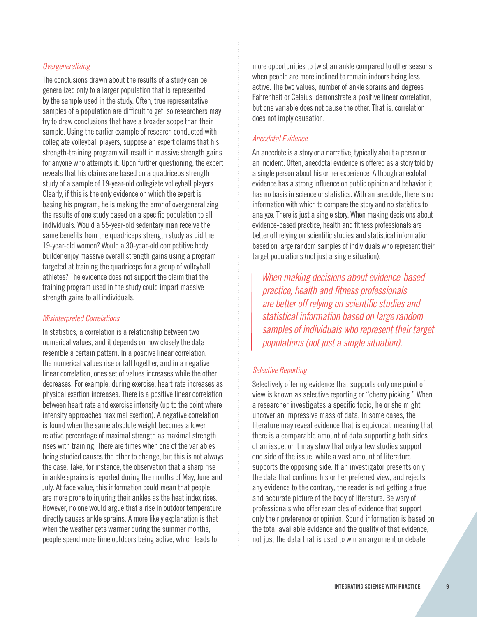# *Overgeneralizing*

The conclusions drawn about the results of a study can be generalized only to a larger population that is represented by the sample used in the study. Often, true representative samples of a population are difficult to get, so researchers may try to draw conclusions that have a broader scope than their sample. Using the earlier example of research conducted with collegiate volleyball players, suppose an expert claims that his strength-training program will result in massive strength gains for anyone who attempts it. Upon further questioning, the expert reveals that his claims are based on a quadriceps strength study of a sample of 19-year-old collegiate volleyball players. Clearly, if this is the only evidence on which the expert is basing his program, he is making the error of overgeneralizing the results of one study based on a specific population to all individuals. Would a 55-year-old sedentary man receive the same benefits from the quadriceps strength study as did the 19-year-old women? Would a 30-year-old competitive body builder enjoy massive overall strength gains using a program targeted at training the quadriceps for a group of volleyball athletes? The evidence does not support the claim that the training program used in the study could impart massive strength gains to all individuals.

## *Misinterpreted Correlations*

In statistics, a correlation is a relationship between two numerical values, and it depends on how closely the data resemble a certain pattern. In a positive linear correlation, the numerical values rise or fall together, and in a negative linear correlation, ones set of values increases while the other decreases. For example, during exercise, heart rate increases as physical exertion increases. There is a positive linear correlation between heart rate and exercise intensity (up to the point where intensity approaches maximal exertion). A negative correlation is found when the same absolute weight becomes a lower relative percentage of maximal strength as maximal strength rises with training. There are times when one of the variables being studied causes the other to change, but this is not always the case. Take, for instance, the observation that a sharp rise in ankle sprains is reported during the months of May, June and July. At face value, this information could mean that people are more prone to injuring their ankles as the heat index rises. However, no one would argue that a rise in outdoor temperature directly causes ankle sprains. A more likely explanation is that when the weather gets warmer during the summer months, people spend more time outdoors being active, which leads to

more opportunities to twist an ankle compared to other seasons when people are more inclined to remain indoors being less active. The two values, number of ankle sprains and degrees Fahrenheit or Celsius, demonstrate a positive linear correlation, but one variable does not cause the other. That is, correlation does not imply causation.

## *Anecdotal Evidence*

An anecdote is a story or a narrative, typically about a person or an incident. Often, anecdotal evidence is offered as a story told by a single person about his or her experience. Although anecdotal evidence has a strong influence on public opinion and behavior, it has no basis in science or statistics. With an anecdote, there is no information with which to compare the story and no statistics to analyze. There is just a single story. When making decisions about evidence-based practice, health and fitness professionals are better off relying on scientific studies and statistical information based on large random samples of individuals who represent their target populations (not just a single situation).

*When making decisions about evidence-based practice, health and fitness professionals are better off relying on scientific studies and statistical information based on large random samples of individuals who represent their target populations (not just a single situation).*

#### *Selective Reporting*

Selectively offering evidence that supports only one point of view is known as selective reporting or "cherry picking." When a researcher investigates a specific topic, he or she might uncover an impressive mass of data. In some cases, the literature may reveal evidence that is equivocal, meaning that there is a comparable amount of data supporting both sides of an issue, or it may show that only a few studies support one side of the issue, while a vast amount of literature supports the opposing side. If an investigator presents only the data that confirms his or her preferred view, and rejects any evidence to the contrary, the reader is not getting a true and accurate picture of the body of literature. Be wary of professionals who offer examples of evidence that support only their preference or opinion. Sound information is based on the total available evidence and the quality of that evidence, not just the data that is used to win an argument or debate.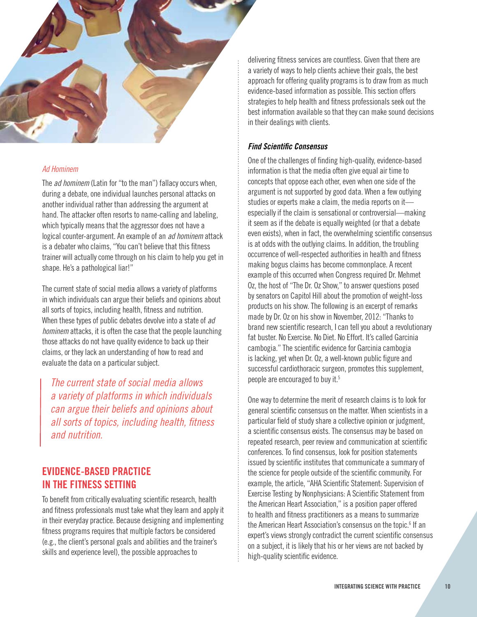

#### *Ad Hominem*

The *ad hominem* (Latin for "to the man") fallacy occurs when, during a debate, one individual launches personal attacks on another individual rather than addressing the argument at hand. The attacker often resorts to name-calling and labeling, which typically means that the aggressor does not have a logical counter-argument. An example of an *ad hominem* attack is a debater who claims, "You can't believe that this fitness trainer will actually come through on his claim to help you get in shape. He's a pathological liar!"

The current state of social media allows a variety of platforms in which individuals can argue their beliefs and opinions about all sorts of topics, including health, fitness and nutrition. When these types of public debates devolve into a state of *ad hominem* attacks, it is often the case that the people launching those attacks do not have quality evidence to back up their claims, or they lack an understanding of how to read and evaluate the data on a particular subject.

*The current state of social media allows a variety of platforms in which individuals can argue their beliefs and opinions about all sorts of topics, including health, fitness and nutrition.*

# EVIDENCE-BASED PRACTICE IN THE FITNESS SETTING

To benefit from critically evaluating scientific research, health and fitness professionals must take what they learn and apply it in their everyday practice. Because designing and implementing fitness programs requires that multiple factors be considered (e.g., the client's personal goals and abilities and the trainer's skills and experience level), the possible approaches to

delivering fitness services are countless. Given that there are a variety of ways to help clients achieve their goals, the best approach for offering quality programs is to draw from as much evidence-based information as possible. This section offers strategies to help health and fitness professionals seek out the best information available so that they can make sound decisions in their dealings with clients.

#### *Find Scientific Consensus*

One of the challenges of finding high-quality, evidence-based information is that the media often give equal air time to concepts that oppose each other, even when one side of the argument is not supported by good data. When a few outlying studies or experts make a claim, the media reports on it especially if the claim is sensational or controversial—making it seem as if the debate is equally weighted (or that a debate even exists), when in fact, the overwhelming scientific consensus is at odds with the outlying claims. In addition, the troubling occurrence of well-respected authorities in health and fitness making bogus claims has become commonplace. A recent example of this occurred when Congress required Dr. Mehmet Oz, the host of "The Dr. Oz Show," to answer questions posed by senators on Capitol Hill about the promotion of weight-loss products on his show. The following is an excerpt of remarks made by Dr. Oz on his show in November, 2012: "Thanks to brand new scientific research, I can tell you about a revolutionary fat buster. No Exercise. No Diet. No Effort. It's called Garcinia cambogia." The scientific evidence for Garcinia cambogia is lacking, yet when Dr. Oz, a well-known public figure and successful cardiothoracic surgeon, promotes this supplement, people are encouraged to buy it.5

One way to determine the merit of research claims is to look for general scientific consensus on the matter. When scientists in a particular field of study share a collective opinion or judgment, a scientific consensus exists. The consensus may be based on repeated research, peer review and communication at scientific conferences. To find consensus, look for position statements issued by scientific institutes that communicate a summary of the science for people outside of the scientific community. For example, the article, "AHA Scientific Statement: Supervision of Exercise Testing by Nonphysicians: A Scientific Statement from the American Heart Association," is a position paper offered to health and fitness practitioners as a means to summarize the American Heart Association's consensus on the topic.<sup>6</sup> If an expert's views strongly contradict the current scientific consensus on a subject, it is likely that his or her views are not backed by high-quality scientific evidence.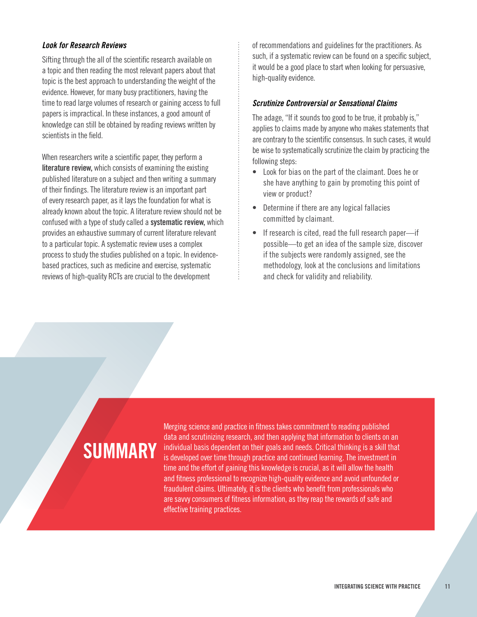# *Look for Research Reviews*

Sifting through the all of the scientific research available on a topic and then reading the most relevant papers about that topic is the best approach to understanding the weight of the evidence. However, for many busy practitioners, having the time to read large volumes of research or gaining access to full papers is impractical. In these instances, a good amount of knowledge can still be obtained by reading reviews written by scientists in the field.

When researchers write a scientific paper, they perform a literature review, which consists of examining the existing published literature on a subject and then writing a summary of their findings. The literature review is an important part of every research paper, as it lays the foundation for what is already known about the topic. A literature review should not be confused with a type of study called a systematic review, which provides an exhaustive summary of current literature relevant to a particular topic. A systematic review uses a complex process to study the studies published on a topic. In evidencebased practices, such as medicine and exercise, systematic reviews of high-quality RCTs are crucial to the development

of recommendations and guidelines for the practitioners. As such, if a systematic review can be found on a specific subject, it would be a good place to start when looking for persuasive, high-quality evidence.

#### *Scrutinize Controversial or Sensational Claims*

The adage, "If it sounds too good to be true, it probably is," applies to claims made by anyone who makes statements that are contrary to the scientific consensus. In such cases, it would be wise to systematically scrutinize the claim by practicing the following steps:

- Look for bias on the part of the claimant. Does he or she have anything to gain by promoting this point of view or product?
- Determine if there are any logical fallacies committed by claimant.
- If research is cited, read the full research paper—if possible—to get an idea of the sample size, discover if the subjects were randomly assigned, see the methodology, look at the conclusions and limitations and check for validity and reliability.

# **SUMMARY**

Merging science and practice in fitness takes commitment to reading published data and scrutinizing research, and then applying that information to clients on an individual basis dependent on their goals and needs. Critical thinking is a skill that is developed over time through practice and continued learning. The investment in time and the effort of gaining this knowledge is crucial, as it will allow the health and fitness professional to recognize high-quality evidence and avoid unfounded or fraudulent claims. Ultimately, it is the clients who benefit from professionals who are savvy consumers of fitness information, as they reap the rewards of safe and effective training practices.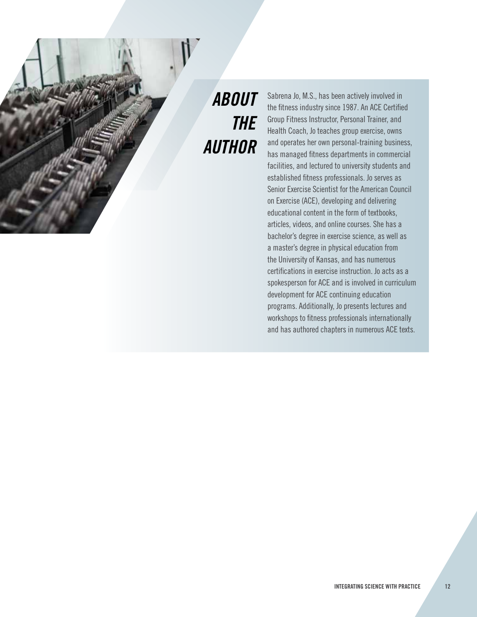# *ABOUT THE AUTHOR*

Sabrena Jo, M.S., has been actively involved in the fitness industry since 1987. An ACE Certified Group Fitness Instructor, Personal Trainer, and Health Coach, Jo teaches group exercise, owns and operates her own personal-training business, has managed fitness departments in commercial facilities, and lectured to university students and established fitness professionals. Jo serves as Senior Exercise Scientist for the American Council on Exercise (ACE), developing and delivering educational content in the form of textbooks, articles, videos, and online courses. She has a bachelor's degree in exercise science, as well as a master's degree in physical education from the University of Kansas, and has numerous certifications in exercise instruction. Jo acts as a spokesperson for ACE and is involved in curriculum development for ACE continuing education programs. Additionally, Jo presents lectures and workshops to fitness professionals internationally and has authored chapters in numerous ACE texts.